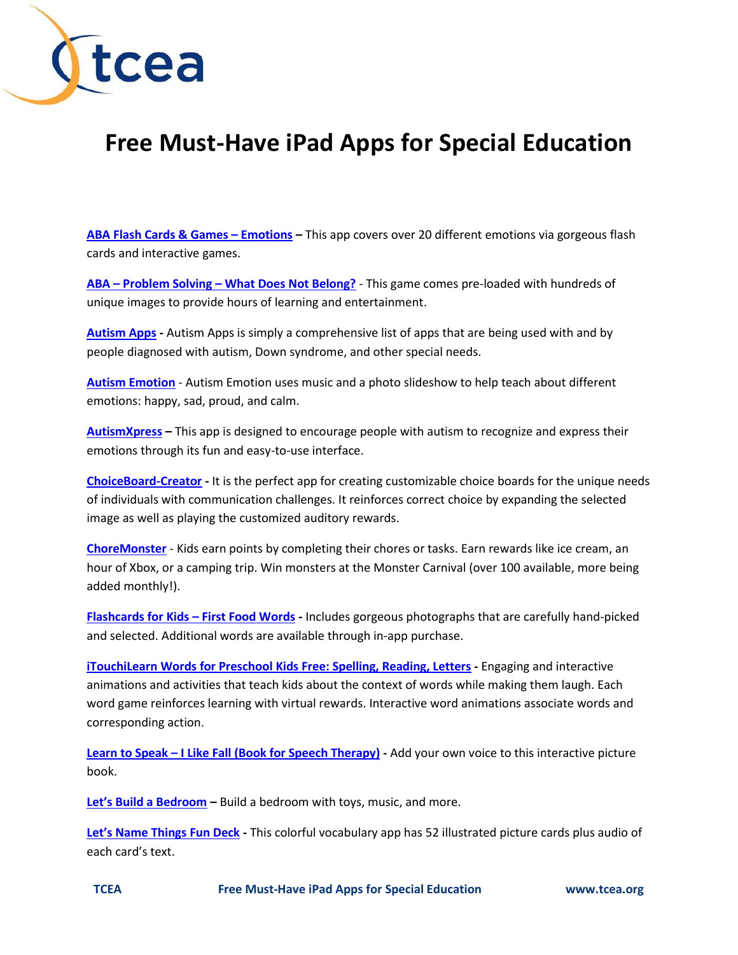

## **Free Must-Have iPad Apps for Special Education**

**[ABA Flash Cards &](https://itunes.apple.com/us/app/aba-flash-cards-games-emotions/id446105144?mt=8) Games – Emotions –** This app covers over 20 different emotions via gorgeous flash cards and interactive games.

**ABA – Problem Solving – [What Does Not Belong?](https://itunes.apple.com/us/app/aba-problem-solving-what-does/id450990906?mt=8)** - This game comes pre-loaded with hundreds of unique images to provide hours of learning and entertainment.

**[Autism Apps](https://itunes.apple.com/us/app/autism-apps/id441600681?mt=8) -** Autism Apps is simply a comprehensive list of apps that are being used with and by people diagnosed with autism, Down syndrome, and other special needs.

**[Autism Emotion](https://itunes.apple.com/us/app/autism-emotion/id550027186?mt=8)** - Autism Emotion uses music and a photo slideshow to help teach about different emotions: happy, sad, proud, and calm.

**[AutismXpress](https://itunes.apple.com/us/app/autismxpress/id343549779?mt=8) –** This app is designed to encourage people with autism to recognize and express their emotions through its fun and easy-to-use interface.

**[ChoiceBoard-Creator](https://itunes.apple.com/us/app/choiceboard-creator/id453988580?mt=8) -** It is the perfect app for creating customizable choice boards for the unique needs of individuals with communication challenges. It reinforces correct choice by expanding the selected image as well as playing the customized auditory rewards.

**[ChoreMonster](https://itunes.apple.com/us/app/choremonster-make-chores-fun/id532344230?mt=8)** - Kids earn points by completing their chores or tasks. Earn rewards like ice cream, an hour of Xbox, or a camping trip. Win monsters at the Monster Carnival (over 100 available, more being added monthly!).

**[Flashcards for Kids](https://itunes.apple.com/us/app/flashcards-for-kids-first/id445992066?mt=8) – First Food Words -** Includes gorgeous photographs that are carefully hand-picked and selected. Additional words are available through in-app purchase.

**[iTouchiLearn Words for Preschool Kids Free: Spelling, Reading, Letters](https://itunes.apple.com/us/app/itouchilearn-words-for-preschool/id424887249?mt=8) -** Engaging and interactive animations and activities that teach kids about the context of words while making them laugh. Each word game reinforces learning with virtual rewards. Interactive word animations associate words and corresponding action.

**Learn to Speak – I Like Fall [\(Book for Speech Therapy\)](https://itunes.apple.com/us/app/learn-to-speak-i-like-fall/id446292972?mt=8) -** Add your own voice to this interactive picture book.

**[Let's Build a Bedroom](https://itunes.apple.com/us/app/lets-build-a-bedroom/id426309492?mt=8) –** Build a bedroom with toys, music, and more.

**[Let's Name Things Fun Deck](https://itunes.apple.com/us/app/lets-name-things-fun-deck/id454450994?mt=8) -** This colorful vocabulary app has 52 illustrated picture cards plus audio of each card's text.

**TCEA Free Must-Have iPad Apps for Special Education www.tcea.org**